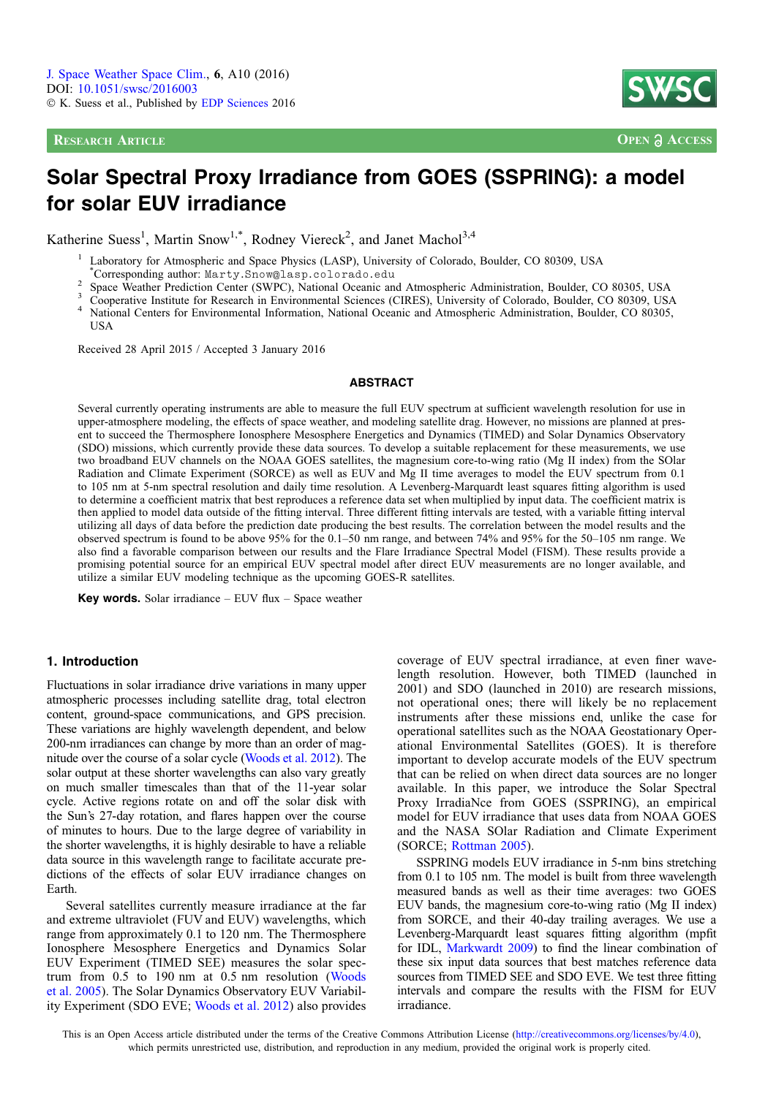**RESEARCH ARTICLE OPEN a ACCESS** 



# Solar Spectral Proxy Irradiance from GOES (SSPRING): a model for solar EUV irradiance

Katherine Suess<sup>1</sup>, Martin Snow<sup>1,\*</sup>, Rodney Viereck<sup>2</sup>, and Janet Machol<sup>3,4</sup>

<sup>1</sup> Laboratory for Atmospheric and Space Physics (LASP), University of Colorado, Boulder, CO 80309, USA

\*Corresponding author: Marty.Snow@lasp.colorado.edu

- 
- 
- <sup>2</sup> Space Weather Prediction Center (SWPC), National Oceanic and Atmospheric Administration, Boulder, CO 80305, USA<br><sup>3</sup> Cooperative Institute for Research in Environmental Sciences (CIRES), University of Colorado, Boulder, **USA**

Received 28 April 2015 / Accepted 3 January 2016

#### ABSTRACT

Several currently operating instruments are able to measure the full EUV spectrum at sufficient wavelength resolution for use in upper-atmosphere modeling, the effects of space weather, and modeling satellite drag. However, no missions are planned at present to succeed the Thermosphere Ionosphere Mesosphere Energetics and Dynamics (TIMED) and Solar Dynamics Observatory (SDO) missions, which currently provide these data sources. To develop a suitable replacement for these measurements, we use two broadband EUV channels on the NOAA GOES satellites, the magnesium core-to-wing ratio (Mg II index) from the SOlar Radiation and Climate Experiment (SORCE) as well as EUV and Mg II time averages to model the EUV spectrum from 0.1 to 105 nm at 5-nm spectral resolution and daily time resolution. A Levenberg-Marquardt least squares fitting algorithm is used to determine a coefficient matrix that best reproduces a reference data set when multiplied by input data. The coefficient matrix is then applied to model data outside of the fitting interval. Three different fitting intervals are tested, with a variable fitting interval utilizing all days of data before the prediction date producing the best results. The correlation between the model results and the observed spectrum is found to be above 95% for the 0.1–50 nm range, and between 74% and 95% for the 50–105 nm range. We also find a favorable comparison between our results and the Flare Irradiance Spectral Model (FISM). These results provide a promising potential source for an empirical EUV spectral model after direct EUV measurements are no longer available, and utilize a similar EUV modeling technique as the upcoming GOES-R satellites.

Key words. Solar irradiance – EUV flux – Space weather

## 1. Introduction

Fluctuations in solar irradiance drive variations in many upper atmospheric processes including satellite drag, total electron content, ground-space communications, and GPS precision. These variations are highly wavelength dependent, and below 200-nm irradiances can change by more than an order of magnitude over the course of a solar cycle [\(Woods et al. 2012\)](#page-10-0). The solar output at these shorter wavelengths can also vary greatly on much smaller timescales than that of the 11-year solar cycle. Active regions rotate on and off the solar disk with the Sun's 27-day rotation, and flares happen over the course of minutes to hours. Due to the large degree of variability in the shorter wavelengths, it is highly desirable to have a reliable data source in this wavelength range to facilitate accurate predictions of the effects of solar EUV irradiance changes on Earth.

Several satellites currently measure irradiance at the far and extreme ultraviolet (FUV and EUV) wavelengths, which range from approximately 0.1 to 120 nm. The Thermosphere Ionosphere Mesosphere Energetics and Dynamics Solar EUV Experiment (TIMED SEE) measures the solar spectrum from 0.5 to 190 nm at 0.5 nm resolution ([Woods](#page-10-0) [et al. 2005\)](#page-10-0). The Solar Dynamics Observatory EUV Variability Experiment (SDO EVE; [Woods et al. 2012](#page-10-0)) also provides coverage of EUV spectral irradiance, at even finer wavelength resolution. However, both TIMED (launched in 2001) and SDO (launched in 2010) are research missions, not operational ones; there will likely be no replacement instruments after these missions end, unlike the case for operational satellites such as the NOAA Geostationary Operational Environmental Satellites (GOES). It is therefore important to develop accurate models of the EUV spectrum that can be relied on when direct data sources are no longer available. In this paper, we introduce the Solar Spectral Proxy IrradiaNce from GOES (SSPRING), an empirical model for EUV irradiance that uses data from NOAA GOES and the NASA SOlar Radiation and Climate Experiment (SORCE; [Rottman 2005](#page-10-0)).

SSPRING models EUV irradiance in 5-nm bins stretching from 0.1 to 105 nm. The model is built from three wavelength measured bands as well as their time averages: two GOES EUV bands, the magnesium core-to-wing ratio (Mg II index) from SORCE, and their 40-day trailing averages. We use a Levenberg-Marquardt least squares fitting algorithm (mpfit for IDL, [Markwardt 2009](#page-10-0)) to find the linear combination of these six input data sources that best matches reference data sources from TIMED SEE and SDO EVE. We test three fitting intervals and compare the results with the FISM for EUV irradiance.

This is an Open Access article distributed under the terms of the Creative Commons Attribution License ([http://creativecommons.org/licenses/by/4.0](http://creativecommons.org/licenses/by/4.0/)), which permits unrestricted use, distribution, and reproduction in any medium, provided the original work is properly cited.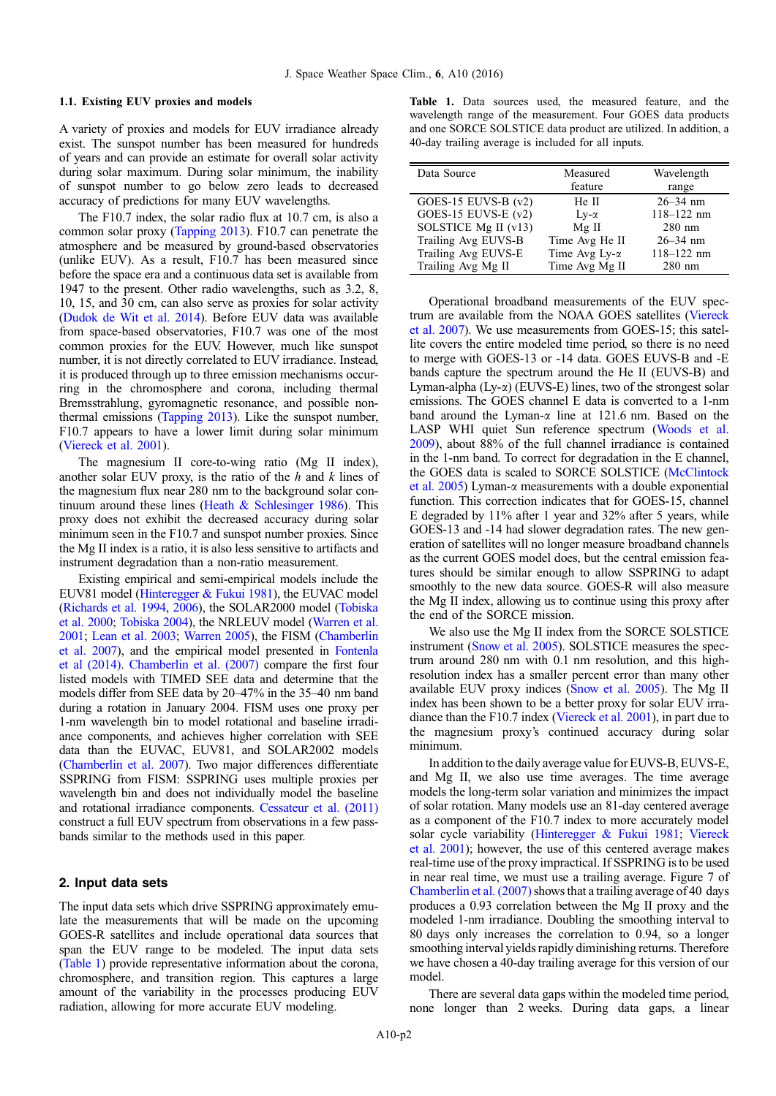#### <span id="page-1-0"></span>1.1. Existing EUV proxies and models

A variety of proxies and models for EUV irradiance already exist. The sunspot number has been measured for hundreds of years and can provide an estimate for overall solar activity during solar maximum. During solar minimum, the inability of sunspot number to go below zero leads to decreased accuracy of predictions for many EUV wavelengths.

The F10.7 index, the solar radio flux at 10.7 cm, is also a common solar proxy [\(Tapping 2013](#page-10-0)). F10.7 can penetrate the atmosphere and be measured by ground-based observatories (unlike EUV). As a result, F10.7 has been measured since before the space era and a continuous data set is available from 1947 to the present. Other radio wavelengths, such as 3.2, 8, 10, 15, and 30 cm, can also serve as proxies for solar activity ([Dudok de Wit et al. 2014\)](#page-9-0). Before EUV data was available from space-based observatories, F10.7 was one of the most common proxies for the EUV. However, much like sunspot number, it is not directly correlated to EUV irradiance. Instead, it is produced through up to three emission mechanisms occurring in the chromosphere and corona, including thermal Bremsstrahlung, gyromagnetic resonance, and possible nonthermal emissions [\(Tapping 2013\)](#page-10-0). Like the sunspot number, F10.7 appears to have a lower limit during solar minimum ([Viereck et al. 2001\)](#page-10-0).

The magnesium II core-to-wing ratio (Mg II index), another solar EUV proxy, is the ratio of the  $h$  and  $k$  lines of the magnesium flux near 280 nm to the background solar continuum around these lines (Heath  $&$  Schlesinger 1986). This proxy does not exhibit the decreased accuracy during solar minimum seen in the F10.7 and sunspot number proxies. Since the Mg II index is a ratio, it is also less sensitive to artifacts and instrument degradation than a non-ratio measurement.

Existing empirical and semi-empirical models include the EUV81 model [\(Hinteregger & Fukui 1981\)](#page-10-0), the EUVAC model [\(Richards et al. 1994](#page-10-0), [2006](#page-10-0)), the SOLAR2000 model [\(Tobiska](#page-10-0) [et al. 2000;](#page-10-0) [Tobiska 2004](#page-10-0)), the NRLEUV model [\(Warren et al.](#page-10-0) [2001;](#page-10-0) [Lean et al. 2003](#page-10-0); [Warren 2005](#page-10-0)), the FISM ([Chamberlin](#page-9-0) [et al. 2007\)](#page-9-0), and the empirical model presented in [Fontenla](#page-9-0) [et al \(2014\).](#page-9-0) [Chamberlin et al. \(2007\)](#page-9-0) compare the first four listed models with TIMED SEE data and determine that the models differ from SEE data by 20–47% in the 35–40 nm band during a rotation in January 2004. FISM uses one proxy per 1-nm wavelength bin to model rotational and baseline irradiance components, and achieves higher correlation with SEE data than the EUVAC, EUV81, and SOLAR2002 models [\(Chamberlin et al. 2007](#page-9-0)). Two major differences differentiate SSPRING from FISM: SSPRING uses multiple proxies per wavelength bin and does not individually model the baseline and rotational irradiance components. [Cessateur et al. \(2011\)](#page-9-0) construct a full EUV spectrum from observations in a few passbands similar to the methods used in this paper.

### 2. Input data sets

The input data sets which drive SSPRING approximately emulate the measurements that will be made on the upcoming GOES-R satellites and include operational data sources that span the EUV range to be modeled. The input data sets (Table 1) provide representative information about the corona, chromosphere, and transition region. This captures a large amount of the variability in the processes producing EUV radiation, allowing for more accurate EUV modeling.

Table 1. Data sources used, the measured feature, and the wavelength range of the measurement. Four GOES data products and one SORCE SOLSTICE data product are utilized. In addition, a 40-day trailing average is included for all inputs.

| Data Source           | Measured             | Wavelength     |
|-----------------------|----------------------|----------------|
|                       | feature              | range          |
| GOES-15 EUVS-B $(v2)$ | He II                | $26 - 34$ nm   |
| GOES-15 EUVS-E $(v2)$ | $Lv-\alpha$          | $118 - 122$ nm |
| SOLSTICE Mg II (v13)  | $Mg$ II              | $280$ nm       |
| Trailing Avg EUVS-B   | Time Avg He II       | $26 - 34$ nm   |
| Trailing Avg EUVS-E   | Time Avg $Ly-\alpha$ | $118 - 122$ nm |
| Trailing Avg Mg II    | Time Avg Mg II       | $280$ nm       |

Operational broadband measurements of the EUV spectrum are available from the NOAA GOES satellites ([Viereck](#page-10-0) [et al. 2007](#page-10-0)). We use measurements from GOES-15; this satellite covers the entire modeled time period, so there is no need to merge with GOES-13 or -14 data. GOES EUVS-B and -E bands capture the spectrum around the He II (EUVS-B) and Lyman-alpha  $(Ly-\alpha)$  (EUVS-E) lines, two of the strongest solar emissions. The GOES channel E data is converted to a 1-nm band around the Lyman- $\alpha$  line at 121.6 nm. Based on the LASP WHI quiet Sun reference spectrum [\(Woods et al.](#page-10-0) [2009\)](#page-10-0), about 88% of the full channel irradiance is contained in the 1-nm band. To correct for degradation in the E channel, the GOES data is scaled to SORCE SOLSTICE ([McClintock](#page-10-0) et al.  $2005$ ) Lyman- $\alpha$  measurements with a double exponential function. This correction indicates that for GOES-15, channel E degraded by 11% after 1 year and 32% after 5 years, while GOES-13 and -14 had slower degradation rates. The new generation of satellites will no longer measure broadband channels as the current GOES model does, but the central emission features should be similar enough to allow SSPRING to adapt smoothly to the new data source. GOES-R will also measure the Mg II index, allowing us to continue using this proxy after the end of the SORCE mission.

We also use the Mg II index from the SORCE SOLSTICE instrument [\(Snow et al. 2005](#page-10-0)). SOLSTICE measures the spectrum around 280 nm with 0.1 nm resolution, and this highresolution index has a smaller percent error than many other available EUV proxy indices ([Snow et al. 2005\)](#page-10-0). The Mg II index has been shown to be a better proxy for solar EUV irradiance than the F10.7 index [\(Viereck et al. 2001](#page-10-0)), in part due to the magnesium proxy's continued accuracy during solar minimum.

In addition to the daily average value for EUVS-B, EUVS-E, and Mg II, we also use time averages. The time average models the long-term solar variation and minimizes the impact of solar rotation. Many models use an 81-day centered average as a component of the F10.7 index to more accurately model solar cycle variability ([Hinteregger & Fukui 1981](#page-10-0); [Viereck](#page-10-0) [et al. 2001\)](#page-10-0); however, the use of this centered average makes real-time use of the proxy impractical. If SSPRING is to be used in near real time, we must use a trailing average. Figure 7 of Chamberlin et al.  $(2007)$  shows that a trailing average of 40 days produces a 0.93 correlation between the Mg II proxy and the modeled 1-nm irradiance. Doubling the smoothing interval to 80 days only increases the correlation to 0.94, so a longer smoothing interval yields rapidly diminishing returns. Therefore we have chosen a 40-day trailing average for this version of our model.

There are several data gaps within the modeled time period, none longer than 2 weeks. During data gaps, a linear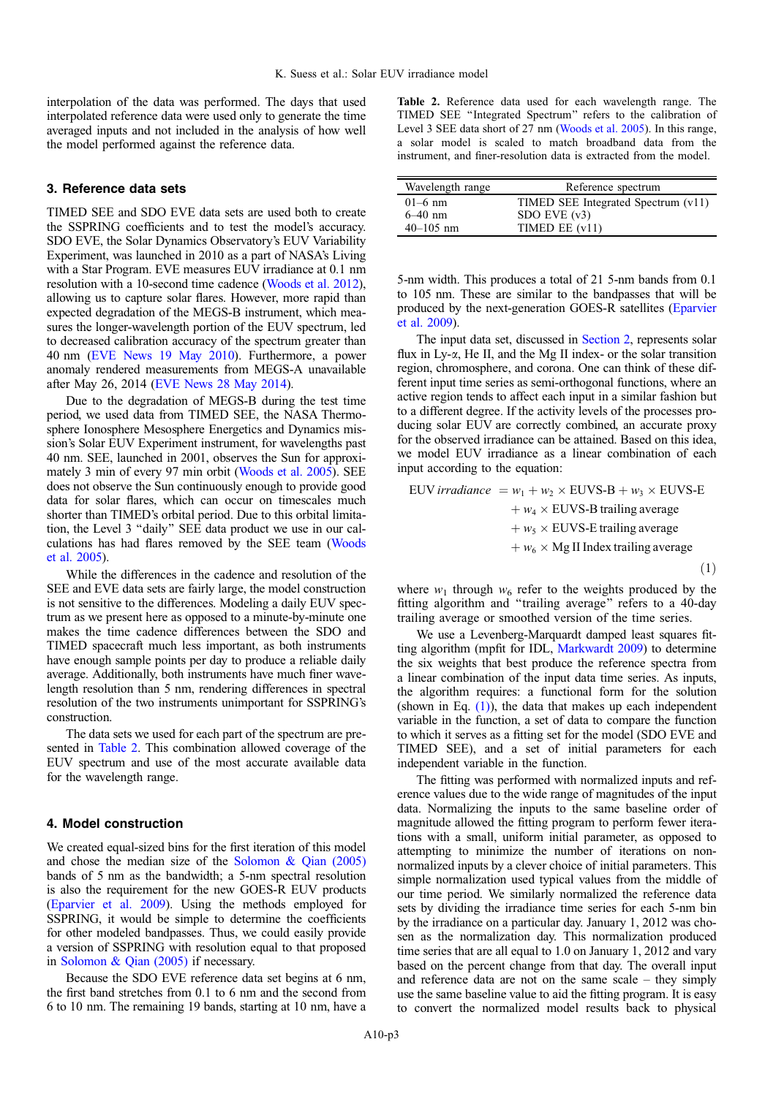interpolation of the data was performed. The days that used interpolated reference data were used only to generate the time averaged inputs and not included in the analysis of how well the model performed against the reference data.

#### 3. Reference data sets

TIMED SEE and SDO EVE data sets are used both to create the SSPRING coefficients and to test the model's accuracy. SDO EVE, the Solar Dynamics Observatory's EUV Variability Experiment, was launched in 2010 as a part of NASA's Living with a Star Program. EVE measures EUV irradiance at 0.1 nm resolution with a 10-second time cadence (Woods et al. 2012), allowing us to capture solar flares. However, more rapid than expected degradation of the MEGS-B instrument, which measures the longer-wavelength portion of the EUV spectrum, led to decreased calibration accuracy of the spectrum greater than 40 nm [\(EVE News 19 May 2010\)](#page-9-0). Furthermore, a power anomaly rendered measurements from MEGS-A unavailable after May 26, 2014 [\(EVE News 28 May 2014\)](#page-9-0).

Due to the degradation of MEGS-B during the test time period, we used data from TIMED SEE, the NASA Thermosphere Ionosphere Mesosphere Energetics and Dynamics mission's Solar EUV Experiment instrument, for wavelengths past 40 nm. SEE, launched in 2001, observes the Sun for approximately 3 min of every 97 min orbit [\(Woods et al. 2005\)](#page-10-0). SEE does not observe the Sun continuously enough to provide good data for solar flares, which can occur on timescales much shorter than TIMED's orbital period. Due to this orbital limitation, the Level 3 ''daily'' SEE data product we use in our calculations has had flares removed by the SEE team [\(Woods](#page-10-0) [et al. 2005](#page-10-0)).

While the differences in the cadence and resolution of the SEE and EVE data sets are fairly large, the model construction is not sensitive to the differences. Modeling a daily EUV spectrum as we present here as opposed to a minute-by-minute one makes the time cadence differences between the SDO and TIMED spacecraft much less important, as both instruments have enough sample points per day to produce a reliable daily average. Additionally, both instruments have much finer wavelength resolution than 5 nm, rendering differences in spectral resolution of the two instruments unimportant for SSPRING's construction.

The data sets we used for each part of the spectrum are presented in Table 2. This combination allowed coverage of the EUV spectrum and use of the most accurate available data for the wavelength range.

## 4. Model construction

We created equal-sized bins for the first iteration of this model and chose the median size of the Solomon  $\&$  Qian (2005) bands of 5 nm as the bandwidth; a 5-nm spectral resolution is also the requirement for the new GOES-R EUV products [\(Eparvier et al. 2009](#page-9-0)). Using the methods employed for SSPRING, it would be simple to determine the coefficients for other modeled bandpasses. Thus, we could easily provide a version of SSPRING with resolution equal to that proposed in [Solomon & Qian \(2005\)](#page-10-0) if necessary.

Because the SDO EVE reference data set begins at 6 nm, the first band stretches from 0.1 to 6 nm and the second from 6 to 10 nm. The remaining 19 bands, starting at 10 nm, have a

Table 2. Reference data used for each wavelength range. The TIMED SEE ''Integrated Spectrum'' refers to the calibration of Level 3 SEE data short of 27 nm ([Woods et al. 2005\)](#page-10-0). In this range, a solar model is scaled to match broadband data from the instrument, and finer-resolution data is extracted from the model.

| Wavelength range | Reference spectrum                  |
|------------------|-------------------------------------|
| $01-6$ nm        | TIMED SEE Integrated Spectrum (v11) |
| $6 - 40$ nm      | $SDO$ EVE $(v3)$                    |
| $40 - 105$ nm    | TIMED EE $(v11)$                    |

5-nm width. This produces a total of 21 5-nm bands from 0.1 to 105 nm. These are similar to the bandpasses that will be produced by the next-generation GOES-R satellites [\(Eparvier](#page-9-0) [et al. 2009](#page-9-0)).

The input data set, discussed in [Section 2](#page-1-0), represents solar flux in  $Ly-\alpha$ , He II, and the Mg II index- or the solar transition region, chromosphere, and corona. One can think of these different input time series as semi-orthogonal functions, where an active region tends to affect each input in a similar fashion but to a different degree. If the activity levels of the processes producing solar EUV are correctly combined, an accurate proxy for the observed irradiance can be attained. Based on this idea, we model EUV irradiance as a linear combination of each input according to the equation:

$$
EUV irradiance = w1 + w2 × EUVS-B + w3 × EUVS-E + w4 × EUVS-B training average + w5 × EUVS-E training average + w6 × Mg II Index training average (1)
$$

where  $w_1$  through  $w_6$  refer to the weights produced by the fitting algorithm and ''trailing average'' refers to a 40-day trailing average or smoothed version of the time series.

We use a Levenberg-Marquardt damped least squares fitting algorithm (mpfit for IDL, [Markwardt 2009](#page-10-0)) to determine the six weights that best produce the reference spectra from a linear combination of the input data time series. As inputs, the algorithm requires: a functional form for the solution (shown in Eq.  $(1)$ ), the data that makes up each independent variable in the function, a set of data to compare the function to which it serves as a fitting set for the model (SDO EVE and TIMED SEE), and a set of initial parameters for each independent variable in the function.

The fitting was performed with normalized inputs and reference values due to the wide range of magnitudes of the input data. Normalizing the inputs to the same baseline order of magnitude allowed the fitting program to perform fewer iterations with a small, uniform initial parameter, as opposed to attempting to minimize the number of iterations on nonnormalized inputs by a clever choice of initial parameters. This simple normalization used typical values from the middle of our time period. We similarly normalized the reference data sets by dividing the irradiance time series for each 5-nm bin by the irradiance on a particular day. January 1, 2012 was chosen as the normalization day. This normalization produced time series that are all equal to 1.0 on January 1, 2012 and vary based on the percent change from that day. The overall input and reference data are not on the same scale – they simply use the same baseline value to aid the fitting program. It is easy to convert the normalized model results back to physical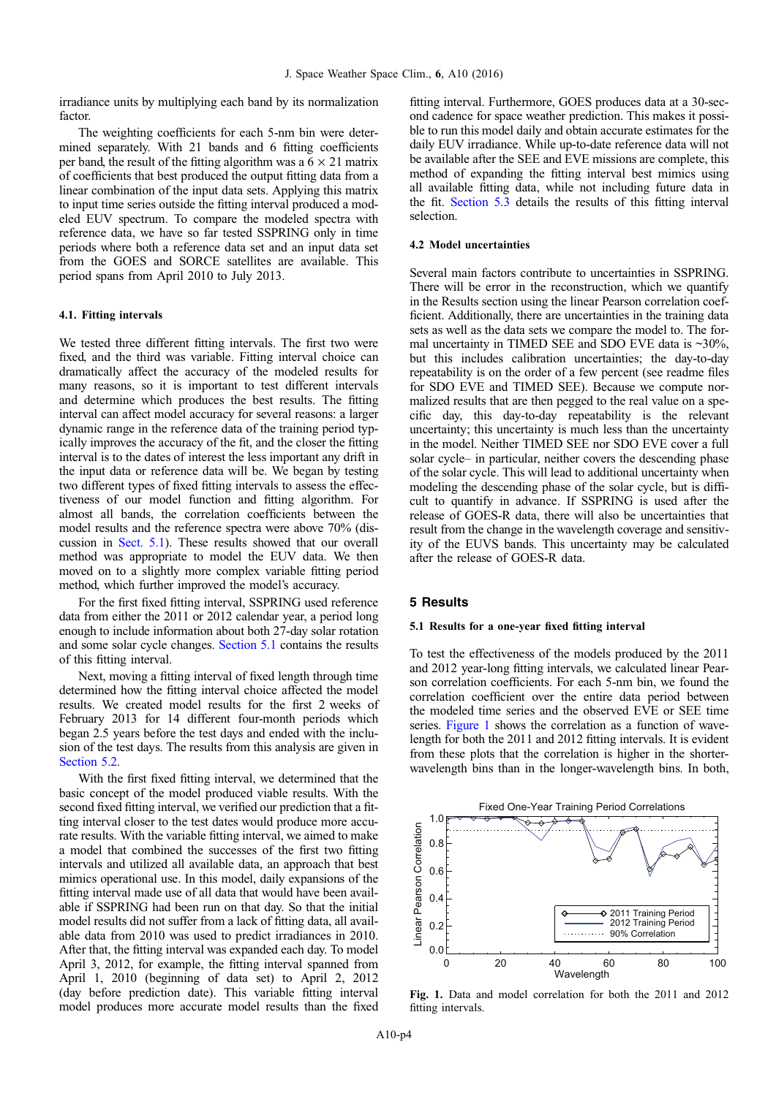<span id="page-3-0"></span>irradiance units by multiplying each band by its normalization factor.

The weighting coefficients for each 5-nm bin were determined separately. With 21 bands and 6 fitting coefficients per band, the result of the fitting algorithm was a  $6 \times 21$  matrix of coefficients that best produced the output fitting data from a linear combination of the input data sets. Applying this matrix to input time series outside the fitting interval produced a modeled EUV spectrum. To compare the modeled spectra with reference data, we have so far tested SSPRING only in time periods where both a reference data set and an input data set from the GOES and SORCE satellites are available. This period spans from April 2010 to July 2013.

## 4.1. Fitting intervals

We tested three different fitting intervals. The first two were fixed, and the third was variable. Fitting interval choice can dramatically affect the accuracy of the modeled results for many reasons, so it is important to test different intervals and determine which produces the best results. The fitting interval can affect model accuracy for several reasons: a larger dynamic range in the reference data of the training period typically improves the accuracy of the fit, and the closer the fitting interval is to the dates of interest the less important any drift in the input data or reference data will be. We began by testing two different types of fixed fitting intervals to assess the effectiveness of our model function and fitting algorithm. For almost all bands, the correlation coefficients between the model results and the reference spectra were above 70% (discussion in Sect. 5.1). These results showed that our overall method was appropriate to model the EUV data. We then moved on to a slightly more complex variable fitting period method, which further improved the model's accuracy.

For the first fixed fitting interval, SSPRING used reference data from either the 2011 or 2012 calendar year, a period long enough to include information about both 27-day solar rotation and some solar cycle changes. Section 5.1 contains the results of this fitting interval.

Next, moving a fitting interval of fixed length through time determined how the fitting interval choice affected the model results. We created model results for the first 2 weeks of February 2013 for 14 different four-month periods which began 2.5 years before the test days and ended with the inclusion of the test days. The results from this analysis are given in [Section 5.2.](#page-5-0)

With the first fixed fitting interval, we determined that the basic concept of the model produced viable results. With the second fixed fitting interval, we verified our prediction that a fitting interval closer to the test dates would produce more accurate results. With the variable fitting interval, we aimed to make a model that combined the successes of the first two fitting intervals and utilized all available data, an approach that best mimics operational use. In this model, daily expansions of the fitting interval made use of all data that would have been available if SSPRING had been run on that day. So that the initial model results did not suffer from a lack of fitting data, all available data from 2010 was used to predict irradiances in 2010. After that, the fitting interval was expanded each day. To model April 3, 2012, for example, the fitting interval spanned from April 1, 2010 (beginning of data set) to April 2, 2012 (day before prediction date). This variable fitting interval model produces more accurate model results than the fixed fitting interval. Furthermore, GOES produces data at a 30-second cadence for space weather prediction. This makes it possible to run this model daily and obtain accurate estimates for the daily EUV irradiance. While up-to-date reference data will not be available after the SEE and EVE missions are complete, this method of expanding the fitting interval best mimics using all available fitting data, while not including future data in the fit. [Section 5.3](#page-5-0) details the results of this fitting interval selection.

#### 4.2 Model uncertainties

Several main factors contribute to uncertainties in SSPRING. There will be error in the reconstruction, which we quantify in the Results section using the linear Pearson correlation coefficient. Additionally, there are uncertainties in the training data sets as well as the data sets we compare the model to. The formal uncertainty in TIMED SEE and SDO EVE data is  $\sim$ 30%, but this includes calibration uncertainties; the day-to-day repeatability is on the order of a few percent (see readme files for SDO EVE and TIMED SEE). Because we compute normalized results that are then pegged to the real value on a specific day, this day-to-day repeatability is the relevant uncertainty; this uncertainty is much less than the uncertainty in the model. Neither TIMED SEE nor SDO EVE cover a full solar cycle– in particular, neither covers the descending phase of the solar cycle. This will lead to additional uncertainty when modeling the descending phase of the solar cycle, but is difficult to quantify in advance. If SSPRING is used after the release of GOES-R data, there will also be uncertainties that result from the change in the wavelength coverage and sensitivity of the EUVS bands. This uncertainty may be calculated after the release of GOES-R data.

#### 5 Results

#### 5.1 Results for a one-year fixed fitting interval

To test the effectiveness of the models produced by the 2011 and 2012 year-long fitting intervals, we calculated linear Pearson correlation coefficients. For each 5-nm bin, we found the correlation coefficient over the entire data period between the modeled time series and the observed EVE or SEE time series. Figure 1 shows the correlation as a function of wavelength for both the 2011 and 2012 fitting intervals. It is evident from these plots that the correlation is higher in the shorterwavelength bins than in the longer-wavelength bins. In both,



Fig. 1. Data and model correlation for both the 2011 and 2012 fitting intervals.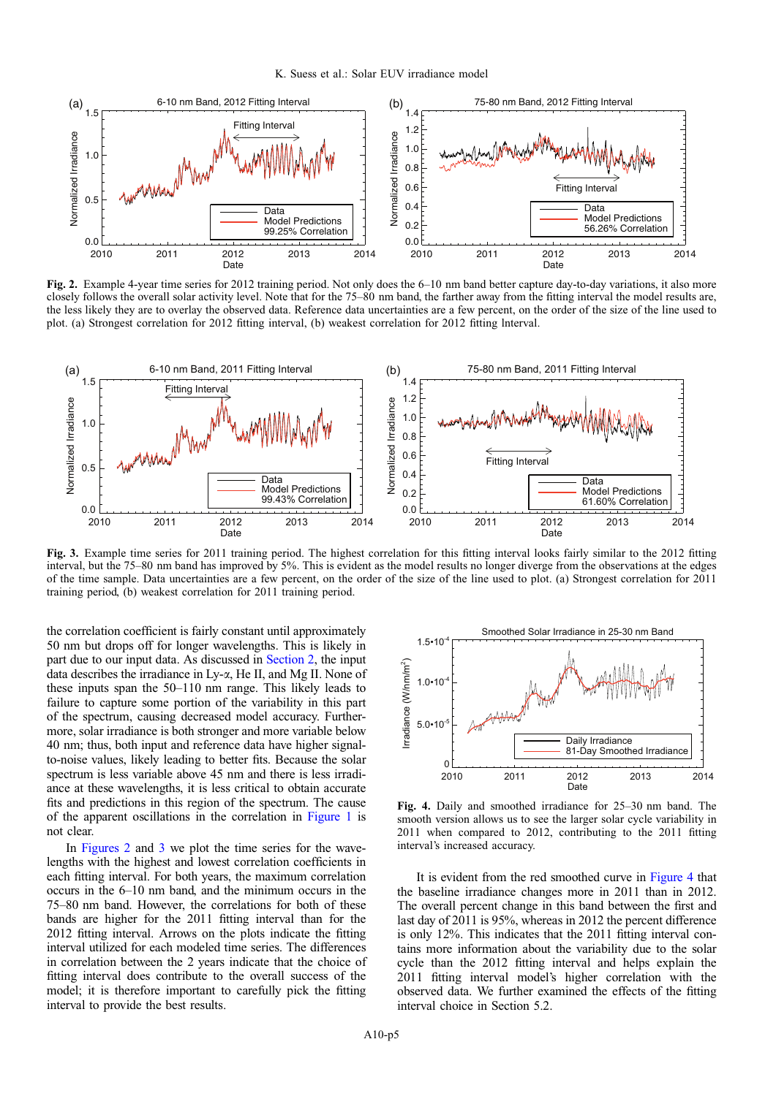K. Suess et al.: Solar EUV irradiance model

<span id="page-4-0"></span>

Fig. 2. Example 4-year time series for 2012 training period. Not only does the 6–10 nm band better capture day-to-day variations, it also more closely follows the overall solar activity level. Note that for the 75–80 nm band, the farther away from the fitting interval the model results are, the less likely they are to overlay the observed data. Reference data uncertainties are a few percent, on the order of the size of the line used to plot. (a) Strongest correlation for 2012 fitting interval, (b) weakest correlation for 2012 fitting lnterval.



Fig. 3. Example time series for 2011 training period. The highest correlation for this fitting interval looks fairly similar to the 2012 fitting interval, but the 75–80 nm band has improved by 5%. This is evident as the model results no longer diverge from the observations at the edges of the time sample. Data uncertainties are a few percent, on the order of the size of the line used to plot. (a) Strongest correlation for 2011 training period, (b) weakest correlation for 2011 training period.

the correlation coefficient is fairly constant until approximately 50 nm but drops off for longer wavelengths. This is likely in part due to our input data. As discussed in [Section 2](#page-1-0), the input data describes the irradiance in Ly- $\alpha$ , He II, and Mg II. None of these inputs span the 50–110 nm range. This likely leads to failure to capture some portion of the variability in this part of the spectrum, causing decreased model accuracy. Furthermore, solar irradiance is both stronger and more variable below 40 nm; thus, both input and reference data have higher signalto-noise values, likely leading to better fits. Because the solar spectrum is less variable above 45 nm and there is less irradiance at these wavelengths, it is less critical to obtain accurate fits and predictions in this region of the spectrum. The cause of the apparent oscillations in the correlation in [Figure 1](#page-3-0) is not clear.

In Figures 2 and 3 we plot the time series for the wavelengths with the highest and lowest correlation coefficients in each fitting interval. For both years, the maximum correlation occurs in the 6–10 nm band, and the minimum occurs in the 75–80 nm band. However, the correlations for both of these bands are higher for the 2011 fitting interval than for the 2012 fitting interval. Arrows on the plots indicate the fitting interval utilized for each modeled time series. The differences in correlation between the 2 years indicate that the choice of fitting interval does contribute to the overall success of the model; it is therefore important to carefully pick the fitting interval to provide the best results.



Fig. 4. Daily and smoothed irradiance for 25–30 nm band. The smooth version allows us to see the larger solar cycle variability in 2011 when compared to 2012, contributing to the 2011 fitting interval's increased accuracy.

It is evident from the red smoothed curve in Figure 4 that the baseline irradiance changes more in 2011 than in 2012. The overall percent change in this band between the first and last day of 2011 is 95%, whereas in 2012 the percent difference is only 12%. This indicates that the 2011 fitting interval contains more information about the variability due to the solar cycle than the 2012 fitting interval and helps explain the 2011 fitting interval model's higher correlation with the observed data. We further examined the effects of the fitting interval choice in Section 5.2.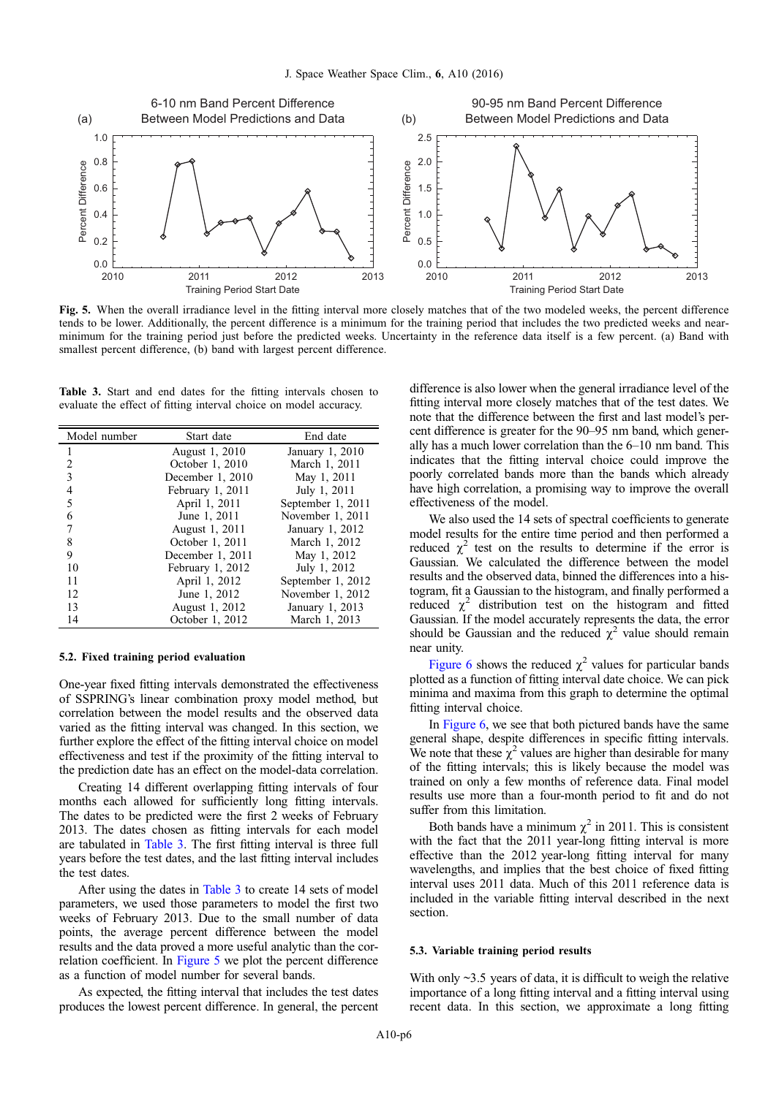<span id="page-5-0"></span>

Fig. 5. When the overall irradiance level in the fitting interval more closely matches that of the two modeled weeks, the percent difference tends to be lower. Additionally, the percent difference is a minimum for the training period that includes the two predicted weeks and nearminimum for the training period just before the predicted weeks. Uncertainty in the reference data itself is a few percent. (a) Band with smallest percent difference, (b) band with largest percent difference.

Table 3. Start and end dates for the fitting intervals chosen to evaluate the effect of fitting interval choice on model accuracy.

| Model number   | Start date       | End date          |
|----------------|------------------|-------------------|
| 1              | August 1, 2010   | January 1, 2010   |
| $\overline{2}$ | October 1, 2010  | March 1, 2011     |
| 3              | December 1, 2010 | May 1, 2011       |
| $\overline{4}$ | February 1, 2011 | July 1, 2011      |
| 5              | April 1, 2011    | September 1, 2011 |
| 6              | June 1, 2011     | November 1, 2011  |
| 7              | August 1, 2011   | January 1, 2012   |
| 8              | October 1, 2011  | March 1, 2012     |
| 9              | December 1, 2011 | May 1, 2012       |
| 10             | February 1, 2012 | July 1, 2012      |
| 11             | April 1, 2012    | September 1, 2012 |
| 12             | June 1, 2012     | November 1, 2012  |
| 13             | August 1, 2012   | January 1, 2013   |
| 14             | October 1, 2012  | March 1, 2013     |

#### 5.2. Fixed training period evaluation

One-year fixed fitting intervals demonstrated the effectiveness of SSPRING's linear combination proxy model method, but correlation between the model results and the observed data varied as the fitting interval was changed. In this section, we further explore the effect of the fitting interval choice on model effectiveness and test if the proximity of the fitting interval to the prediction date has an effect on the model-data correlation.

Creating 14 different overlapping fitting intervals of four months each allowed for sufficiently long fitting intervals. The dates to be predicted were the first 2 weeks of February 2013. The dates chosen as fitting intervals for each model are tabulated in Table 3. The first fitting interval is three full years before the test dates, and the last fitting interval includes the test dates.

After using the dates in Table 3 to create 14 sets of model parameters, we used those parameters to model the first two weeks of February 2013. Due to the small number of data points, the average percent difference between the model results and the data proved a more useful analytic than the correlation coefficient. In Figure 5 we plot the percent difference as a function of model number for several bands.

As expected, the fitting interval that includes the test dates produces the lowest percent difference. In general, the percent difference is also lower when the general irradiance level of the fitting interval more closely matches that of the test dates. We note that the difference between the first and last model's percent difference is greater for the 90–95 nm band, which generally has a much lower correlation than the 6–10 nm band. This indicates that the fitting interval choice could improve the poorly correlated bands more than the bands which already have high correlation, a promising way to improve the overall effectiveness of the model.

We also used the 14 sets of spectral coefficients to generate model results for the entire time period and then performed a reduced  $\chi^2$  test on the results to determine if the error is Gaussian. We calculated the difference between the model results and the observed data, binned the differences into a histogram, fit a Gaussian to the histogram, and finally performed a reduced  $\chi^2$  distribution test on the histogram and fitted Gaussian. If the model accurately represents the data, the error should be Gaussian and the reduced  $\chi^2$  value should remain near unity.

[Figure 6](#page-6-0) shows the reduced  $\chi^2$  values for particular bands plotted as a function of fitting interval date choice. We can pick minima and maxima from this graph to determine the optimal fitting interval choice.

In [Figure 6,](#page-6-0) we see that both pictured bands have the same general shape, despite differences in specific fitting intervals. We note that these  $\chi^2$  values are higher than desirable for many of the fitting intervals; this is likely because the model was trained on only a few months of reference data. Final model results use more than a four-month period to fit and do not suffer from this limitation.

Both bands have a minimum  $\chi^2$  in 2011. This is consistent with the fact that the 2011 year-long fitting interval is more effective than the 2012 year-long fitting interval for many wavelengths, and implies that the best choice of fixed fitting interval uses 2011 data. Much of this 2011 reference data is included in the variable fitting interval described in the next section.

#### 5.3. Variable training period results

With only  $\sim$ 3.5 years of data, it is difficult to weigh the relative importance of a long fitting interval and a fitting interval using recent data. In this section, we approximate a long fitting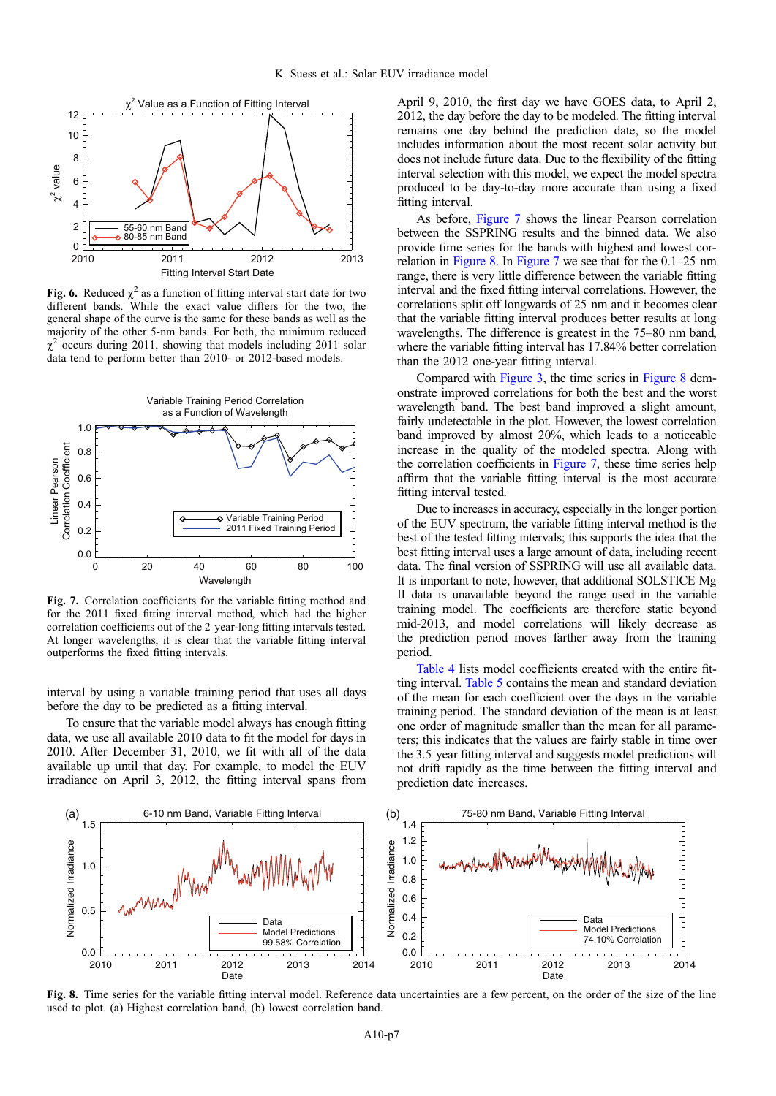<span id="page-6-0"></span>

Fig. 6. Reduced  $\chi^2$  as a function of fitting interval start date for two different bands. While the exact value differs for the two, the general shape of the curve is the same for these bands as well as the majority of the other 5-nm bands. For both, the minimum reduced  $\chi^2$  occurs during 2011, showing that models including 2011 solar data tend to perform better than 2010- or 2012-based models.



Fig. 7. Correlation coefficients for the variable fitting method and for the 2011 fixed fitting interval method, which had the higher correlation coefficients out of the 2 year-long fitting intervals tested. At longer wavelengths, it is clear that the variable fitting interval outperforms the fixed fitting intervals.

interval by using a variable training period that uses all days before the day to be predicted as a fitting interval.

To ensure that the variable model always has enough fitting data, we use all available 2010 data to fit the model for days in 2010. After December 31, 2010, we fit with all of the data available up until that day. For example, to model the EUV irradiance on April 3, 2012, the fitting interval spans from

April 9, 2010, the first day we have GOES data, to April 2, 2012, the day before the day to be modeled. The fitting interval remains one day behind the prediction date, so the model includes information about the most recent solar activity but does not include future data. Due to the flexibility of the fitting interval selection with this model, we expect the model spectra produced to be day-to-day more accurate than using a fixed fitting interval.

As before, Figure 7 shows the linear Pearson correlation between the SSPRING results and the binned data. We also provide time series for the bands with highest and lowest correlation in Figure 8. In Figure 7 we see that for the 0.1–25 nm range, there is very little difference between the variable fitting interval and the fixed fitting interval correlations. However, the correlations split off longwards of 25 nm and it becomes clear that the variable fitting interval produces better results at long wavelengths. The difference is greatest in the 75–80 nm band, where the variable fitting interval has 17.84% better correlation than the 2012 one-year fitting interval.

Compared with [Figure 3,](#page-4-0) the time series in Figure 8 demonstrate improved correlations for both the best and the worst wavelength band. The best band improved a slight amount, fairly undetectable in the plot. However, the lowest correlation band improved by almost 20%, which leads to a noticeable increase in the quality of the modeled spectra. Along with the correlation coefficients in Figure 7, these time series help affirm that the variable fitting interval is the most accurate fitting interval tested.

Due to increases in accuracy, especially in the longer portion of the EUV spectrum, the variable fitting interval method is the best of the tested fitting intervals; this supports the idea that the best fitting interval uses a large amount of data, including recent data. The final version of SSPRING will use all available data. It is important to note, however, that additional SOLSTICE Mg II data is unavailable beyond the range used in the variable training model. The coefficients are therefore static beyond mid-2013, and model correlations will likely decrease as the prediction period moves farther away from the training period.

[Table 4](#page-7-0) lists model coefficients created with the entire fitting interval. [Table 5](#page-8-0) contains the mean and standard deviation of the mean for each coefficient over the days in the variable training period. The standard deviation of the mean is at least one order of magnitude smaller than the mean for all parameters; this indicates that the values are fairly stable in time over the 3.5 year fitting interval and suggests model predictions will not drift rapidly as the time between the fitting interval and prediction date increases.



Fig. 8. Time series for the variable fitting interval model. Reference data uncertainties are a few percent, on the order of the size of the line used to plot. (a) Highest correlation band, (b) lowest correlation band.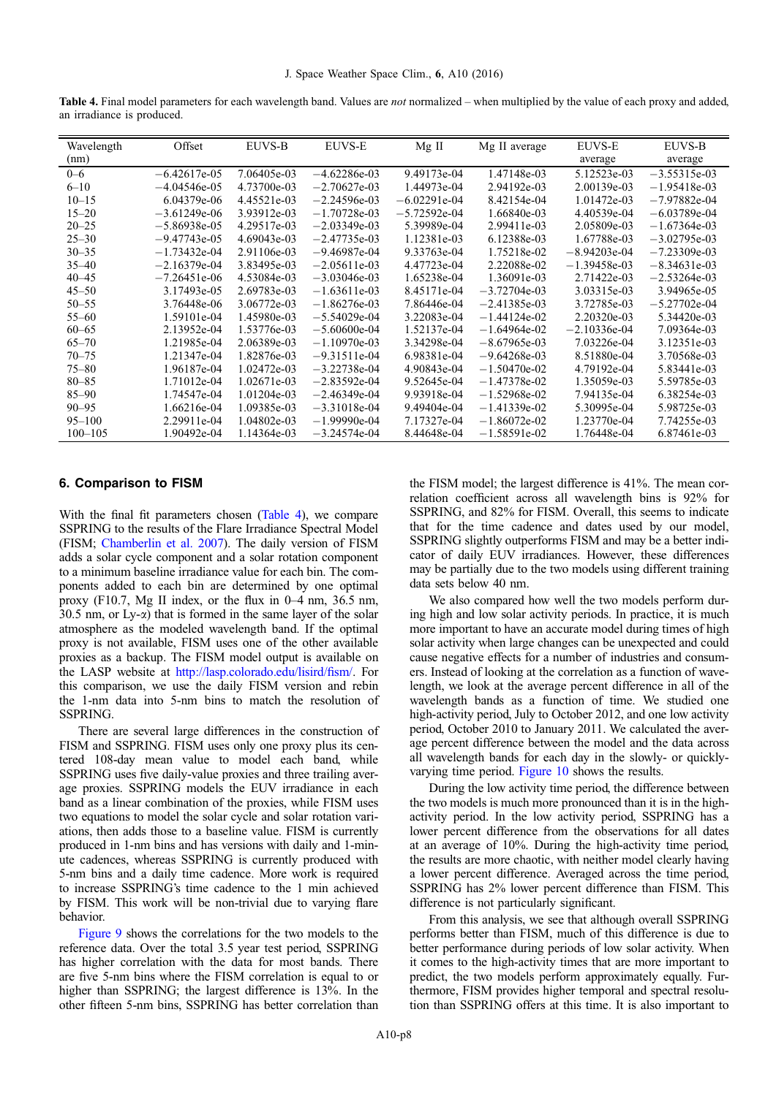<span id="page-7-0"></span>Table 4. Final model parameters for each wavelength band. Values are not normalized – when multiplied by the value of each proxy and added, an irradiance is produced.

| Wavelength  | Offset         | EUVS-B      | <b>EUVS-E</b>  | $Mg$ II         | Mg II average  | <b>EUVS-E</b>  | EUVS-B         |
|-------------|----------------|-------------|----------------|-----------------|----------------|----------------|----------------|
| (nm)        |                |             |                |                 |                | average        | average        |
| $0 - 6$     | $-6.42617e-05$ | 7.06405e-03 | $-4.62286e-03$ | 9.49173e-04     | 1.47148e-03    | 5.12523e-03    | $-3.55315e-03$ |
| $6 - 10$    | $-4.04546e-05$ | 4.73700e-03 | $-2.70627e-03$ | 1.44973e-04     | 2.94192e-03    | 2.00139e-03    | $-1.95418e-03$ |
| $10 - 15$   | 6.04379e-06    | 4.45521e-03 | $-2.24596e-03$ | $-6.02291e-04$  | 8.42154e-04    | 1.01472e-03    | $-7.97882e-04$ |
| $15 - 20$   | $-3.61249e-06$ | 3.93912e-03 | $-1.70728e-03$ | $-5.72592$ e-04 | 1.66840e-03    | 4.40539e-04    | $-6.03789e-04$ |
| $20 - 25$   | $-5.86938e-05$ | 4.29517e-03 | $-2.03349e-03$ | 5.39989e-04     | 2.99411e-03    | 2.05809e-03    | $-1.67364e-03$ |
| $25 - 30$   | $-9.47743e-05$ | 4.69043e-03 | $-2.47735e-03$ | 1.12381e-03     | 6.12388e-03    | 1.67788e-03    | $-3.02795e-03$ |
| $30 - 35$   | $-1.73432e-04$ | 2.91106e-03 | $-9.46987e-04$ | 9.33763e-04     | 1.75218e-02    | $-8.94203e-04$ | $-7.23309e-03$ |
| $35 - 40$   | $-2.16379e-04$ | 3.83495e-03 | $-2.05611e-03$ | 4.47723e-04     | 2.22088e-02    | $-1.39458e-03$ | $-8.34631e-03$ |
| $40 - 45$   | $-7.26451e-06$ | 4.53084e-03 | $-3.03046e-03$ | 1.65238e-04     | 1.36091e-03    | 2.71422e-03    | $-2.53264e-03$ |
| $45 - 50$   | 3.17493e-05    | 2.69783e-03 | $-1.63611e-03$ | 8.45171e-04     | $-3.72704e-03$ | 3.03315e-03    | 3.94965e-05    |
| $50 - 55$   | 3.76448e-06    | 3.06772e-03 | $-1.86276e-03$ | 7.86446e-04     | $-2.41385e-03$ | 3.72785e-03    | $-5.27702e-04$ |
| $55 - 60$   | 1.59101e-04    | 1.45980e-03 | $-5.54029e-04$ | 3.22083e-04     | $-1.44124e-02$ | 2.20320e-03    | 5.34420e-03    |
| $60 - 65$   | 2.13952e-04    | 1.53776e-03 | $-5.60600e-04$ | 1.52137e-04     | $-1.64964e-02$ | $-2.10336e-04$ | 7.09364e-03    |
| $65 - 70$   | 1.21985e-04    | 2.06389e-03 | $-1.10970e-03$ | 3.34298e-04     | $-8.67965e-03$ | 7.03226e-04    | 3.12351e-03    |
| $70 - 75$   | 1.21347e-04    | 1.82876e-03 | $-9.31511e-04$ | 6.98381e-04     | $-9.64268e-03$ | 8.51880e-04    | 3.70568e-03    |
| $75 - 80$   | 1.96187e-04    | 1.02472e-03 | $-3.22738e-04$ | 4.90843e-04     | $-1.50470e-02$ | 4.79192e-04    | 5.83441e-03    |
| $80 - 85$   | 1.71012e-04    | 1.02671e-03 | $-2.83592e-04$ | 9.52645e-04     | $-1.47378e-02$ | 1.35059e-03    | 5.59785e-03    |
| $85 - 90$   | 1.74547e-04    | 1.01204e-03 | $-2.46349e-04$ | 9.93918e-04     | $-1.52968e-02$ | 7.94135e-04    | 6.38254e-03    |
| $90 - 95$   | 1.66216e-04    | 1.09385e-03 | $-3.31018e-04$ | 9.49404e-04     | $-1.41339e-02$ | 5.30995e-04    | 5.98725e-03    |
| $95 - 100$  | 2.29911e-04    | 1.04802e-03 | $-1.99990e-04$ | 7.17327e-04     | $-1.86072e-02$ | 1.23770e-04    | 7.74255e-03    |
| $100 - 105$ | 1.90492e-04    | 1.14364e-03 | $-3.24574e-04$ | 8.44648e-04     | $-1.58591e-02$ | 1.76448e-04    | 6.87461e-03    |

### 6. Comparison to FISM

With the final fit parameters chosen (Table 4), we compare SSPRING to the results of the Flare Irradiance Spectral Model (FISM; [Chamberlin et al. 2007](#page-9-0)). The daily version of FISM adds a solar cycle component and a solar rotation component to a minimum baseline irradiance value for each bin. The components added to each bin are determined by one optimal proxy (F10.7, Mg II index, or the flux in 0–4 nm, 36.5 nm, 30.5 nm, or  $Ly-\alpha$ ) that is formed in the same layer of the solar atmosphere as the modeled wavelength band. If the optimal proxy is not available, FISM uses one of the other available proxies as a backup. The FISM model output is available on the LASP website at [http://lasp.colorado.edu/lisird/fism/.](http://lasp.colorado.edu/lisird/fism/) For this comparison, we use the daily FISM version and rebin the 1-nm data into 5-nm bins to match the resolution of **SSPRING.** 

There are several large differences in the construction of FISM and SSPRING. FISM uses only one proxy plus its centered 108-day mean value to model each band, while SSPRING uses five daily-value proxies and three trailing average proxies. SSPRING models the EUV irradiance in each band as a linear combination of the proxies, while FISM uses two equations to model the solar cycle and solar rotation variations, then adds those to a baseline value. FISM is currently produced in 1-nm bins and has versions with daily and 1-minute cadences, whereas SSPRING is currently produced with 5-nm bins and a daily time cadence. More work is required to increase SSPRING's time cadence to the 1 min achieved by FISM. This work will be non-trivial due to varying flare behavior.

[Figure 9](#page-8-0) shows the correlations for the two models to the reference data. Over the total 3.5 year test period, SSPRING has higher correlation with the data for most bands. There are five 5-nm bins where the FISM correlation is equal to or higher than SSPRING; the largest difference is 13%. In the other fifteen 5-nm bins, SSPRING has better correlation than the FISM model; the largest difference is 41%. The mean correlation coefficient across all wavelength bins is 92% for SSPRING, and 82% for FISM. Overall, this seems to indicate that for the time cadence and dates used by our model, SSPRING slightly outperforms FISM and may be a better indicator of daily EUV irradiances. However, these differences may be partially due to the two models using different training data sets below 40 nm.

We also compared how well the two models perform during high and low solar activity periods. In practice, it is much more important to have an accurate model during times of high solar activity when large changes can be unexpected and could cause negative effects for a number of industries and consumers. Instead of looking at the correlation as a function of wavelength, we look at the average percent difference in all of the wavelength bands as a function of time. We studied one high-activity period, July to October 2012, and one low activity period, October 2010 to January 2011. We calculated the average percent difference between the model and the data across all wavelength bands for each day in the slowly- or quicklyvarying time period. [Figure 10](#page-9-0) shows the results.

During the low activity time period, the difference between the two models is much more pronounced than it is in the highactivity period. In the low activity period, SSPRING has a lower percent difference from the observations for all dates at an average of 10%. During the high-activity time period, the results are more chaotic, with neither model clearly having a lower percent difference. Averaged across the time period, SSPRING has 2% lower percent difference than FISM. This difference is not particularly significant.

From this analysis, we see that although overall SSPRING performs better than FISM, much of this difference is due to better performance during periods of low solar activity. When it comes to the high-activity times that are more important to predict, the two models perform approximately equally. Furthermore, FISM provides higher temporal and spectral resolution than SSPRING offers at this time. It is also important to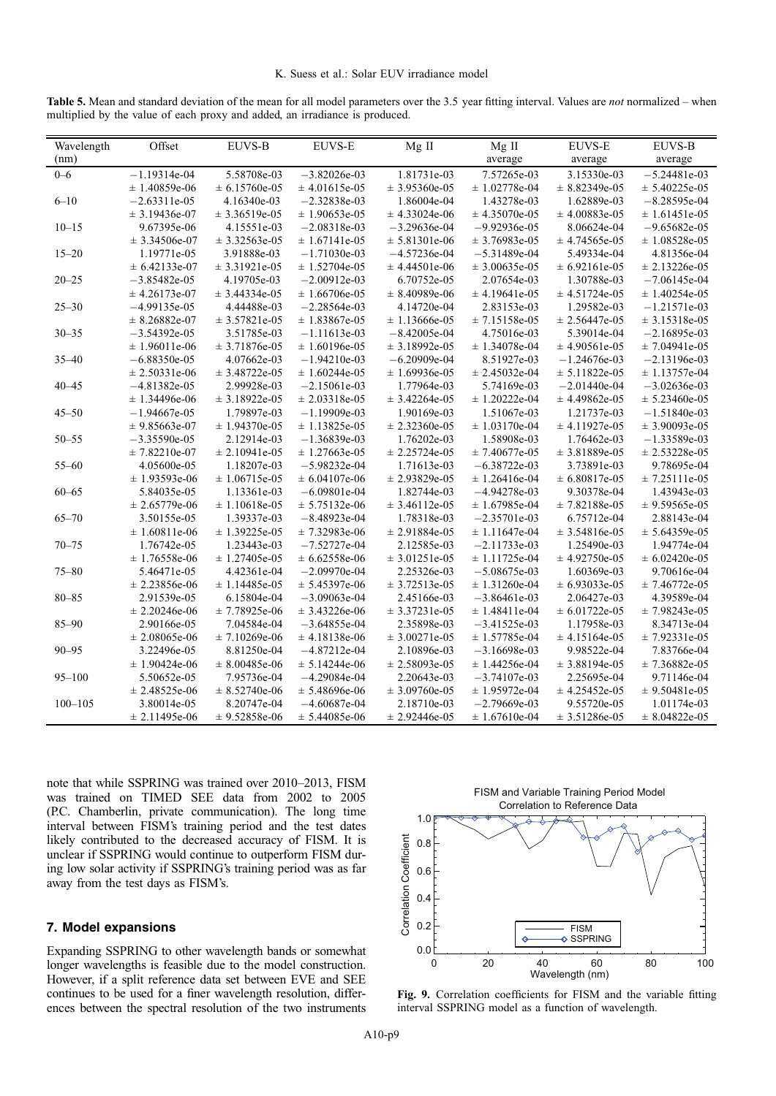<span id="page-8-0"></span>

|  |  |                                                                             |  | Table 5. Mean and standard deviation of the mean for all model parameters over the 3.5 year fitting interval. Values are not normalized – when |  |  |
|--|--|-----------------------------------------------------------------------------|--|------------------------------------------------------------------------------------------------------------------------------------------------|--|--|
|  |  | multiplied by the value of each proxy and added, an irradiance is produced. |  |                                                                                                                                                |  |  |

| Wavelength  | Offset            | <b>EUVS-B</b>      | <b>EUVS-E</b>      | Mg II             | Mg II             | <b>EUVS-E</b>      | <b>EUVS-B</b>     |
|-------------|-------------------|--------------------|--------------------|-------------------|-------------------|--------------------|-------------------|
| (nm)        |                   |                    |                    |                   | average           | average            | average           |
| $0 - 6$     | $-1.19314e-04$    | 5.58708e-03        | $-3.82026e-03$     | 1.81731e-03       | 7.57265e-03       | 3.15330e-03        | $-5.24481e-03$    |
|             | $± 1.40859e-06$   | $\pm 6.15760e-05$  | $\pm$ 4.01615e-05  | $\pm 3.95360e-05$ | $\pm 1.02778e-04$ | $\pm 8.82349e-05$  | $± 5.40225e-05$   |
| $6 - 10$    | $-2.63311e-05$    | 4.16340e-03        | $-2.32838e-03$     | 1.86004e-04       | 1.43278e-03       | 1.62889e-03        | $-8.28595e-04$    |
|             | $± 3.19436e-07$   | $\pm$ 3.36519e-05  | $\pm 1.90653e-05$  | $\pm$ 4.33024e-06 | $\pm$ 4.35070e-05 | $\pm$ 4.00883e-05  | $\pm 1.61451e-05$ |
| $10 - 15$   | 9.67395e-06       | 4.15551e-03        | $-2.08318e-03$     | $-3.29636e-04$    | $-9.92936e-05$    | 8.06624e-04        | $-9.65682e-05$    |
|             | $\pm 3.34506e-07$ | $± 3.32563e-05$    | $± 1.67141e-05$    | $± 5.81301e-06$   | $± 3.76983e-05$   | $± 4.74565e-05$    | $\pm 1.08528e-05$ |
| $15 - 20$   | 1.19771e-05       | 3.91888e-03        | $-1.71030e-03$     | $-4.57236e-04$    | $-5.31489e-04$    | 5.49334e-04        | 4.81356e-04       |
|             | $\pm 6.42133e-07$ | $\pm 3.31921e-05$  | $\pm 1.52704e-05$  | $± 4.44501e-06$   | $± 3.00635e-05$   | $\pm 6.92161$ e-05 | $± 2.13226e-05$   |
| $20 - 25$   | $-3.85482e-05$    | 4.19705e-03        | $-2.00912e-03$     | 6.70752e-05       | 2.07654e-03       | 1.30788e-03        | $-7.06145e-04$    |
|             | $± 4.26173e-07$   | $± 3.44334e-05$    | $\pm 1.66706e-05$  | $\pm 8.40989e-06$ | $± 4.19641e-05$   | $± 4.51724e-05$    | $\pm$ 1.40254e-05 |
| $25 - 30$   | $-4.99135e-05$    | 4.44488e-03        | $-2.28564e-03$     | 4.14720e-04       | 2.83153e-03       | 1.29582e-03        | $-1.21571e-03$    |
|             | $\pm 8.26882e-07$ | $\pm 3.57821e-05$  | $\pm 1.83867e-05$  | $\pm$ 1.13666e-05 | $± 7.15158e-05$   | $± 2.56447e-05$    | $\pm 3.15318e-05$ |
| $30 - 35$   | $-3.54392e-05$    | 3.51785e-03        | $-1.11613e-03$     | $-8.42005e-04$    | 4.75016e-03       | 5.39014e-04        | $-2.16895e-03$    |
|             | $± 1.96011e-06$   | $\pm 3.71876e-05$  | $\pm 1.60196e-05$  | $± 3.18992e-05$   | $\pm 1.34078e-04$ | $±$ 4.90561e-05    | $± 7.04941e-05$   |
| $35 - 40$   | $-6.88350e-05$    | 4.07662e-03        | $-1.94210e-03$     | $-6.20909e-04$    | 8.51927e-03       | $-1.24676e-03$     | $-2.13196e-03$    |
|             | $\pm 2.50331e-06$ | $± 3.48722e-05$    | $\pm 1.60244e-05$  | $± 1.69936e-05$   | $± 2.45032e-04$   | $± 5.11822e-05$    | $± 1.13757e-04$   |
| $40 - 45$   | $-4.81382e-05$    | 2.99928e-03        | $-2.15061e-03$     | 1.77964e-03       | 5.74169e-03       | $-2.01440e-04$     | $-3.02636e-03$    |
|             | $± 1.34496e-06$   | $\pm 3.18922e-05$  | $\pm 2.03318e-05$  | $\pm$ 3.42264e-05 | $± 1.20222e-04$   | $± 4.49862e-05$    | $\pm 5.23460e-05$ |
| $45 - 50$   | $-1.94667e-05$    | 1.79897e-03        | $-1.19909e-03$     | 1.90169e-03       | 1.51067e-03       | 1.21737e-03        | $-1.51840e-03$    |
|             | $± 9.85663e-07$   | $± 1.94370e-05$    | $± 1.13825e-05$    | $\pm 2.32360e-05$ | $\pm 1.03170e-04$ | $± 4.11927e-05$    | $± 3.90093e-05$   |
| $50 - 55$   | $-3.35590e-05$    | 2.12914e-03        | $-1.36839e-03$     | 1.76202e-03       | 1.58908e-03       | 1.76462e-03        | $-1.33589e-03$    |
|             | $± 7.82210e-07$   | $\pm 2.10941e-05$  | $± 1.27663e-05$    | $± 2.25724e-05$   | $± 7.40677e-05$   | $± 3.81889e-05$    | $± 2.53228e-05$   |
| $55 - 60$   | 4.05600e-05       | 1.18207e-03        | $-5.98232e-04$     | 1.71613e-03       | $-6.38722e-03$    | 3.73891e-03        | 9.78695e-04       |
|             | $\pm 1.93593e-06$ | $\pm 1.06715$ e-05 | $\pm 6.04107$ e-06 | $\pm 2.93829e-05$ | $\pm$ 1.26416e-04 | $\pm 6.80817e-05$  | $± 7.25111e-05$   |
| $60 - 65$   | 5.84035e-05       | 1.13361e-03        | $-6.09801e-04$     | 1.82744e-03       | $-4.94278e-03$    | 9.30378e-04        | 1.43943e-03       |
|             | $\pm 2.65779e-06$ | $\pm 1.10618e-05$  | $\pm 5.75132e-06$  | $\pm$ 3.46112e-05 | $± 1.67985e-04$   | $± 7.82188e-05$    | $± 9.59565e-05$   |
| $65 - 70$   | 3.50155e-05       | 1.39337e-03        | $-8.48923e-04$     | 1.78318e-03       | $-2.35701e-03$    | 6.75712e-04        | 2.88143e-04       |
|             | $\pm 1.60811e-06$ | $± 1.39225e-05$    | $± 7.32983e-06$    | $± 2.91884e-05$   | $± 1.11647e-04$   | $\pm 3.54816e-05$  | $± 5.64359e-05$   |
| $70 - 75$   | 1.76742e-05       | 1.23443e-03        | $-7.52727e-04$     | 2.12585e-03       | $-2.11733e-03$    | 1.25490e-03        | 1.94774e-04       |
|             | $\pm 1.76558e-06$ | $± 1.27405e-05$    | $\pm 6.62558e-06$  | $\pm 3.01251e-05$ | $± 1.11725e-04$   | $± 4.92750e-05$    | $\pm 6.02420e-05$ |
| $75 - 80$   | 5.46471e-05       | 4.42361e-04        | $-2.09970e-04$     | 2.25326e-03       | $-5.08675e-03$    | 1.60369e-03        | 9.70616e-04       |
|             | $± 2.23856e-06$   | $\pm$ 1.14485e-05  | $± 5.45397e-06$    | $\pm 3.72513e-05$ | $\pm 1.31260e-04$ | $± 6.93033e-05$    | $± 7.46772e-05$   |
| $80 - 85$   | 2.91539e-05       | 6.15804e-04        | $-3.09063e-04$     | 2.45166e-03       | $-3.86461e-03$    | 2.06427e-03        | 4.39589e-04       |
|             | $\pm 2.20246e-06$ | $± 7.78925e-06$    | $\pm$ 3.43226e-06  | $\pm 3.37231e-05$ | $\pm$ 1.48411e-04 | $\pm 6.01722e-05$  | $± 7.98243e-05$   |
| $85 - 90$   | 2.90166e-05       | 7.04584e-04        | $-3.64855e-04$     | 2.35898e-03       | $-3.41525e-03$    | 1.17958e-03        | 8.34713e-04       |
|             | $± 2.08065e-06$   | $± 7.10269e-06$    | $± 4.18138e-06$    | $\pm 3.00271e-05$ | $± 1.57785e-04$   | $± 4.15164e-05$    | $± 7.92331e-05$   |
| $90 - 95$   | 3.22496e-05       | 8.81250e-04        | $-4.87212e-04$     | 2.10896e-03       | $-3.16698e-03$    | 9.98522e-04        | 7.83766e-04       |
|             | $± 1.90424e-06$   | $\pm 8.00485e-06$  | $± 5.14244e-06$    | $± 2.58093e-05$   | $± 1.44256e-04$   | $± 3.88194e-05$    | $± 7.36882e-05$   |
| $95 - 100$  | 5.50652e-05       | 7.95736e-04        | $-4.29084e-04$     | 2.20643e-03       | $-3.74107e-03$    | 2.25695e-04        | 9.71146e-04       |
|             | $± 2.48525e-06$   | $\pm 8.52740e-06$  | $± 5.48696e-06$    | $\pm 3.09760e-05$ | $± 1.95972e-04$   | $± 4.25452e-05$    | $\pm$ 9.50481e-05 |
| $100 - 105$ | 3.80014e-05       | 8.20747e-04        | $-4.60687e-04$     | 2.18710e-03       | $-2.79669e-03$    | 9.55720e-05        | 1.01174e-03       |
|             | $\pm 2.11495e-06$ | $\pm$ 9.52858e-06  | $± 5.44085e-06$    | $± 2.92446e-05$   | $\pm 1.67610e-04$ | $\pm$ 3.51286e-05  | $\pm 8.04822e-05$ |

note that while SSPRING was trained over 2010–2013, FISM was trained on TIMED SEE data from 2002 to 2005 (P.C. Chamberlin, private communication). The long time interval between FISM's training period and the test dates likely contributed to the decreased accuracy of FISM. It is unclear if SSPRING would continue to outperform FISM during low solar activity if SSPRING's training period was as far away from the test days as FISM's.

## 7. Model expansions

Expanding SSPRING to other wavelength bands or somewhat longer wavelengths is feasible due to the model construction. However, if a split reference data set between EVE and SEE continues to be used for a finer wavelength resolution, differences between the spectral resolution of the two instruments



Fig. 9. Correlation coefficients for FISM and the variable fitting interval SSPRING model as a function of wavelength.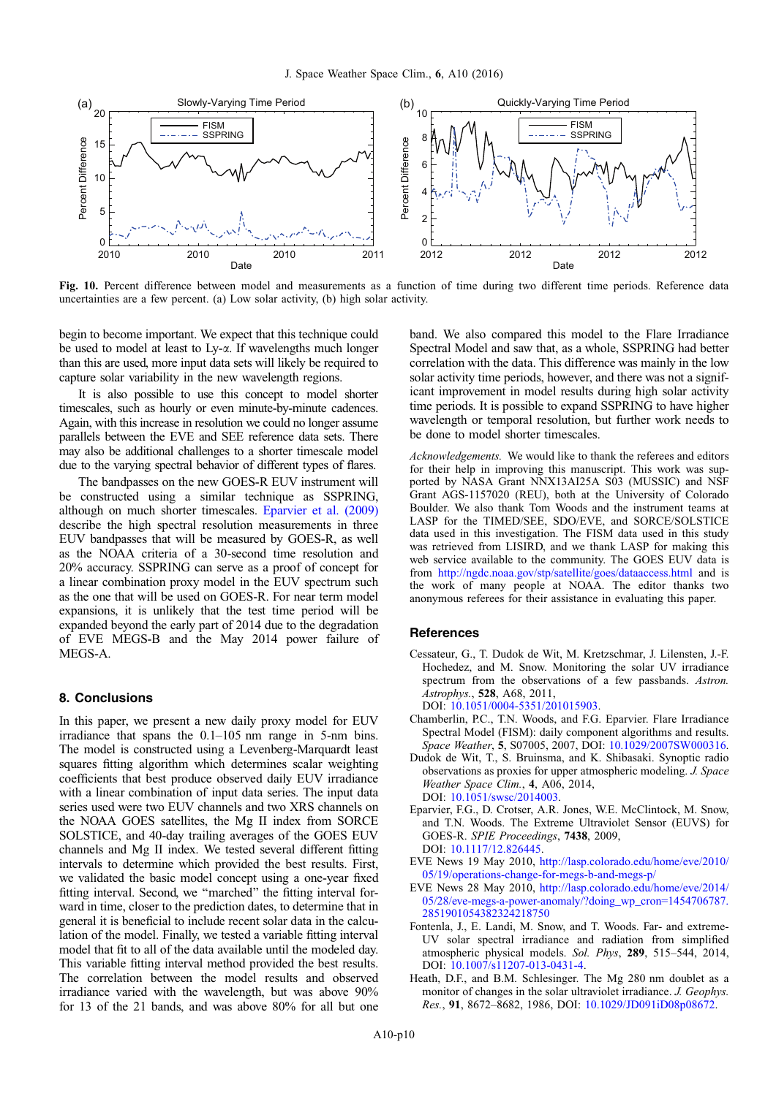<span id="page-9-0"></span>

Fig. 10. Percent difference between model and measurements as a function of time during two different time periods. Reference data uncertainties are a few percent. (a) Low solar activity, (b) high solar activity.

begin to become important. We expect that this technique could be used to model at least to Ly-a. If wavelengths much longer than this are used, more input data sets will likely be required to capture solar variability in the new wavelength regions.

It is also possible to use this concept to model shorter timescales, such as hourly or even minute-by-minute cadences. Again, with this increase in resolution we could no longer assume parallels between the EVE and SEE reference data sets. There may also be additional challenges to a shorter timescale model due to the varying spectral behavior of different types of flares.

The bandpasses on the new GOES-R EUV instrument will be constructed using a similar technique as SSPRING, although on much shorter timescales. Eparvier et al. (2009) describe the high spectral resolution measurements in three EUV bandpasses that will be measured by GOES-R, as well as the NOAA criteria of a 30-second time resolution and 20% accuracy. SSPRING can serve as a proof of concept for a linear combination proxy model in the EUV spectrum such as the one that will be used on GOES-R. For near term model expansions, it is unlikely that the test time period will be expanded beyond the early part of 2014 due to the degradation of EVE MEGS-B and the May 2014 power failure of MEGS-A.

#### 8. Conclusions

In this paper, we present a new daily proxy model for EUV irradiance that spans the 0.1–105 nm range in 5-nm bins. The model is constructed using a Levenberg-Marquardt least squares fitting algorithm which determines scalar weighting coefficients that best produce observed daily EUV irradiance with a linear combination of input data series. The input data series used were two EUV channels and two XRS channels on the NOAA GOES satellites, the Mg II index from SORCE SOLSTICE, and 40-day trailing averages of the GOES EUV channels and Mg II index. We tested several different fitting intervals to determine which provided the best results. First, we validated the basic model concept using a one-year fixed fitting interval. Second, we ''marched'' the fitting interval forward in time, closer to the prediction dates, to determine that in general it is beneficial to include recent solar data in the calculation of the model. Finally, we tested a variable fitting interval model that fit to all of the data available until the modeled day. This variable fitting interval method provided the best results. The correlation between the model results and observed irradiance varied with the wavelength, but was above 90% for 13 of the 21 bands, and was above 80% for all but one band. We also compared this model to the Flare Irradiance Spectral Model and saw that, as a whole, SSPRING had better correlation with the data. This difference was mainly in the low solar activity time periods, however, and there was not a significant improvement in model results during high solar activity time periods. It is possible to expand SSPRING to have higher wavelength or temporal resolution, but further work needs to be done to model shorter timescales.

Acknowledgements. We would like to thank the referees and editors for their help in improving this manuscript. This work was supported by NASA Grant NNX13AI25A S03 (MUSSIC) and NSF Grant AGS-1157020 (REU), both at the University of Colorado Boulder. We also thank Tom Woods and the instrument teams at LASP for the TIMED/SEE, SDO/EVE, and SORCE/SOLSTICE data used in this investigation. The FISM data used in this study was retrieved from LISIRD, and we thank LASP for making this web service available to the community. The GOES EUV data is from <http://ngdc.noaa.gov/stp/satellite/goes/dataaccess.html> and is the work of many people at NOAA. The editor thanks two anonymous referees for their assistance in evaluating this paper.

#### **References**

- Cessateur, G., T. Dudok de Wit, M. Kretzschmar, J. Lilensten, J.-F. Hochedez, and M. Snow. Monitoring the solar UV irradiance spectrum from the observations of a few passbands. Astron. Astrophys., 528, A68, 2011, DOI: [10.1051/0004-5351/201015903.](http://dx.doi.org/10.1051/0004-5351/201015903)
- Chamberlin, P.C., T.N. Woods, and F.G. Eparvier. Flare Irradiance Spectral Model (FISM): daily component algorithms and results. Space Weather, 5, S07005, 2007, DOI: [10.1029/2007SW000316](http://dx.doi.org/10.1029/2007SW000316).
- Dudok de Wit, T., S. Bruinsma, and K. Shibasaki. Synoptic radio observations as proxies for upper atmospheric modeling. J. Space Weather Space Clim., 4, A06, 2014, DOI: [10.1051/swsc/2014003](http://dx.doi.org/10.1051/swsc/2014003).
- Eparvier, F.G., D. Crotser, A.R. Jones, W.E. McClintock, M. Snow, and T.N. Woods. The Extreme Ultraviolet Sensor (EUVS) for GOES-R. SPIE Proceedings, 7438, 2009, DOI: [10.1117/12.826445](http://dx.doi.org/10.1117/12.826445).
- EVE News 19 May 2010, [http://lasp.colorado.edu/home/eve/2010/](http://lasp.colorado.edu/home/eve/2010/05/19/operations-change-for-megs-b-and-megs-p/) [05/19/operations-change-for-megs-b-and-megs-p/](http://lasp.colorado.edu/home/eve/2010/05/19/operations-change-for-megs-b-and-megs-p/)
- EVE News 28 May 2010, [http://lasp.colorado.edu/home/eve/2014/](http://lasp.colorado.edu/home/eve/2014/05/28/eve-megs-a-power-anomaly/?doing_wp_cron=1454706787.2851901054382324218750) [05/28/eve-megs-a-power-anomaly/?doing\\_wp\\_cron=1454706787.](http://lasp.colorado.edu/home/eve/2014/05/28/eve-megs-a-power-anomaly/?doing_wp_cron=1454706787.2851901054382324218750) [2851901054382324218750](http://lasp.colorado.edu/home/eve/2014/05/28/eve-megs-a-power-anomaly/?doing_wp_cron=1454706787.2851901054382324218750)
- Fontenla, J., E. Landi, M. Snow, and T. Woods. Far- and extreme-UV solar spectral irradiance and radiation from simplified atmospheric physical models. Sol. Phys, 289, 515–544, 2014, DOI: [10.1007/s11207-013-0431-4.](http://dx.doi.org/10.1007/s11207-013-0431-4)
- Heath, D.F., and B.M. Schlesinger. The Mg 280 nm doublet as a monitor of changes in the solar ultraviolet irradiance. J. Geophys. Res., 91, 8672–8682, 1986, DOI: [10.1029/JD091iD08p08672.](http://dx.doi.org/10.1029/JD091iD08p08672)